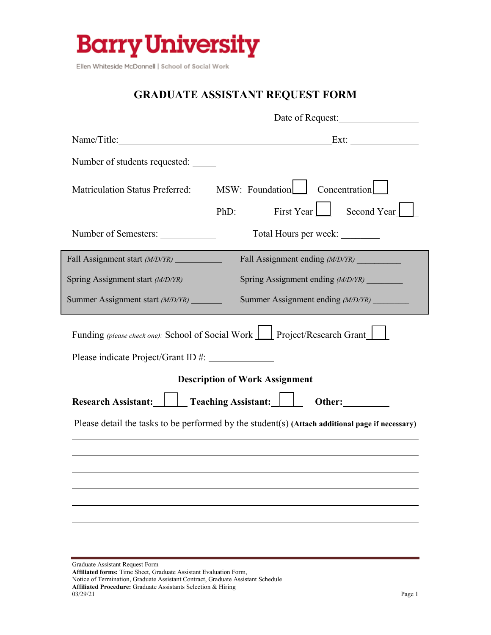

Ellen Whiteside McDonnell | School of Social Work

## **GRADUATE ASSISTANT REQUEST FORM**

|                                           | Date of Request:                                                                                |  |
|-------------------------------------------|-------------------------------------------------------------------------------------------------|--|
|                                           |                                                                                                 |  |
| Number of students requested:             |                                                                                                 |  |
| <b>Matriculation Status Preferred:</b>    | MSW: Foundation Concentration                                                                   |  |
|                                           | First Year Second Year<br>PhD:                                                                  |  |
| Number of Semesters: _____________        | Total Hours per week:                                                                           |  |
| Fall Assignment start (M/D/YR) __________ | Fall Assignment ending (M/D/YR)                                                                 |  |
| Spring Assignment start (M/D/YR) ________ | Spring Assignment ending (M/D/YR)                                                               |  |
| Summer Assignment start (M/D/YR) _______  | Summer Assignment ending (M/D/YR)                                                               |  |
|                                           | Funding (please check one): School of Social Work   Project/Research Grant                      |  |
|                                           | <b>Description of Work Assignment</b><br>Research Assistant:     Teaching Assistant:     Other: |  |
|                                           | Please detail the tasks to be performed by the student(s) (Attach additional page if necessary) |  |
|                                           |                                                                                                 |  |
|                                           |                                                                                                 |  |
|                                           |                                                                                                 |  |
|                                           |                                                                                                 |  |
|                                           |                                                                                                 |  |
|                                           |                                                                                                 |  |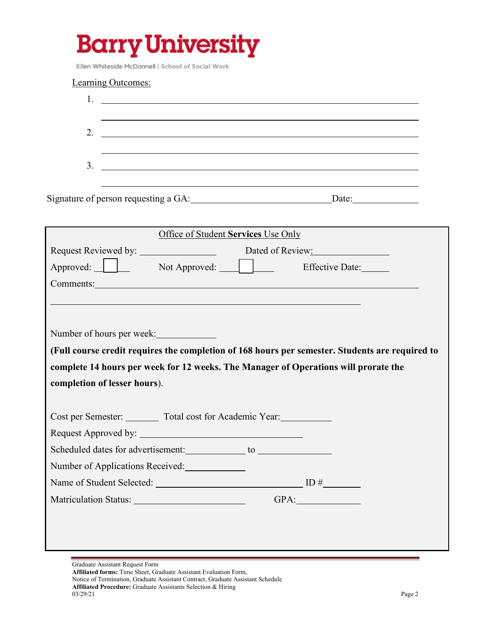## **Barry University**

Ellen Whiteside McDonnell | School of Social Work

| Learning Outcomes:                                                                                                                                                                                                                                                                                                                                                    |      |
|-----------------------------------------------------------------------------------------------------------------------------------------------------------------------------------------------------------------------------------------------------------------------------------------------------------------------------------------------------------------------|------|
| $1.$ $\frac{1}{\sqrt{2}}$ $\frac{1}{\sqrt{2}}$ $\frac{1}{\sqrt{2}}$ $\frac{1}{\sqrt{2}}$ $\frac{1}{\sqrt{2}}$ $\frac{1}{\sqrt{2}}$ $\frac{1}{\sqrt{2}}$ $\frac{1}{\sqrt{2}}$ $\frac{1}{\sqrt{2}}$ $\frac{1}{\sqrt{2}}$ $\frac{1}{\sqrt{2}}$ $\frac{1}{\sqrt{2}}$ $\frac{1}{\sqrt{2}}$ $\frac{1}{\sqrt{2}}$ $\frac{1}{\sqrt{2}}$ $\frac{1}{\sqrt{2}}$ $\frac{1}{\sqrt$ |      |
|                                                                                                                                                                                                                                                                                                                                                                       |      |
| 2. $\qquad \qquad$                                                                                                                                                                                                                                                                                                                                                    |      |
|                                                                                                                                                                                                                                                                                                                                                                       |      |
| $3.$ $\overline{\phantom{a}}$                                                                                                                                                                                                                                                                                                                                         |      |
|                                                                                                                                                                                                                                                                                                                                                                       |      |
| Signature of person requesting a GA: Date: Date: Date:                                                                                                                                                                                                                                                                                                                |      |
|                                                                                                                                                                                                                                                                                                                                                                       |      |
| Office of Student Services Use Only                                                                                                                                                                                                                                                                                                                                   |      |
| Request Reviewed by: Dated of Review:                                                                                                                                                                                                                                                                                                                                 |      |
| Approved: Not Approved: Effective Date:                                                                                                                                                                                                                                                                                                                               |      |
| Comments: Note of the Comments of the Comments of the Comments of the Comments of the Comments of the Comments of the Comments of the Comments of the Comments of the Comments of the Comments of the Comments of the Comments                                                                                                                                        |      |
|                                                                                                                                                                                                                                                                                                                                                                       |      |
|                                                                                                                                                                                                                                                                                                                                                                       |      |
| Number of hours per week:                                                                                                                                                                                                                                                                                                                                             |      |
| (Full course credit requires the completion of 168 hours per semester. Students are required to                                                                                                                                                                                                                                                                       |      |
| complete 14 hours per week for 12 weeks. The Manager of Operations will prorate the                                                                                                                                                                                                                                                                                   |      |
| completion of lesser hours).                                                                                                                                                                                                                                                                                                                                          |      |
|                                                                                                                                                                                                                                                                                                                                                                       |      |
| Cost per Semester: ________ Total cost for Academic Year: __________                                                                                                                                                                                                                                                                                                  |      |
|                                                                                                                                                                                                                                                                                                                                                                       |      |
|                                                                                                                                                                                                                                                                                                                                                                       |      |
| Number of Applications Received:                                                                                                                                                                                                                                                                                                                                      |      |
|                                                                                                                                                                                                                                                                                                                                                                       |      |
| Matriculation Status: 1988 Matriculation Status:                                                                                                                                                                                                                                                                                                                      | GPA: |
|                                                                                                                                                                                                                                                                                                                                                                       |      |
|                                                                                                                                                                                                                                                                                                                                                                       |      |
|                                                                                                                                                                                                                                                                                                                                                                       |      |
|                                                                                                                                                                                                                                                                                                                                                                       |      |